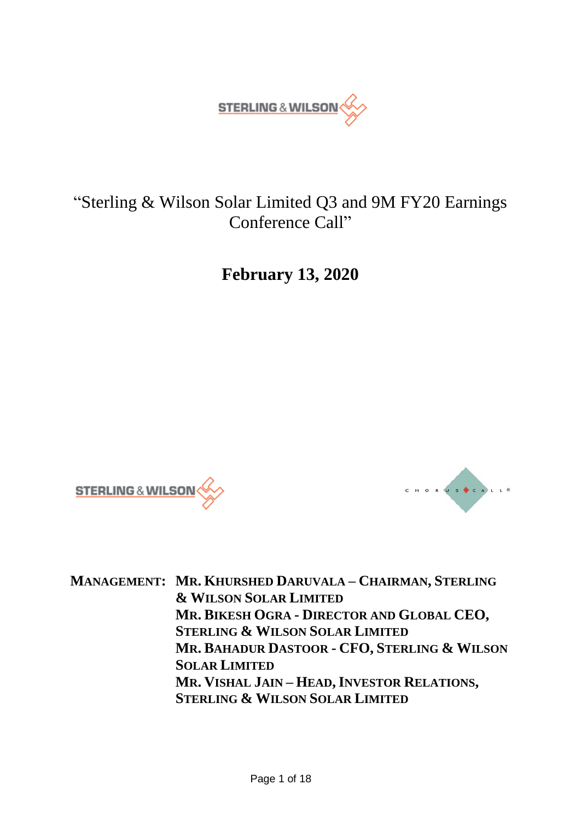

# "Sterling & Wilson Solar Limited Q3 and 9M FY20 Earnings Conference Call"

**February 13, 2020**





**MANAGEMENT: MR. KHURSHED DARUVALA – CHAIRMAN, STERLING & WILSON SOLAR LIMITED MR. BIKESH OGRA - DIRECTOR AND GLOBAL CEO, STERLING & WILSON SOLAR LIMITED MR. BAHADUR DASTOOR - CFO, STERLING & WILSON SOLAR LIMITED MR. VISHAL JAIN – HEAD, INVESTOR RELATIONS, STERLING & WILSON SOLAR LIMITED**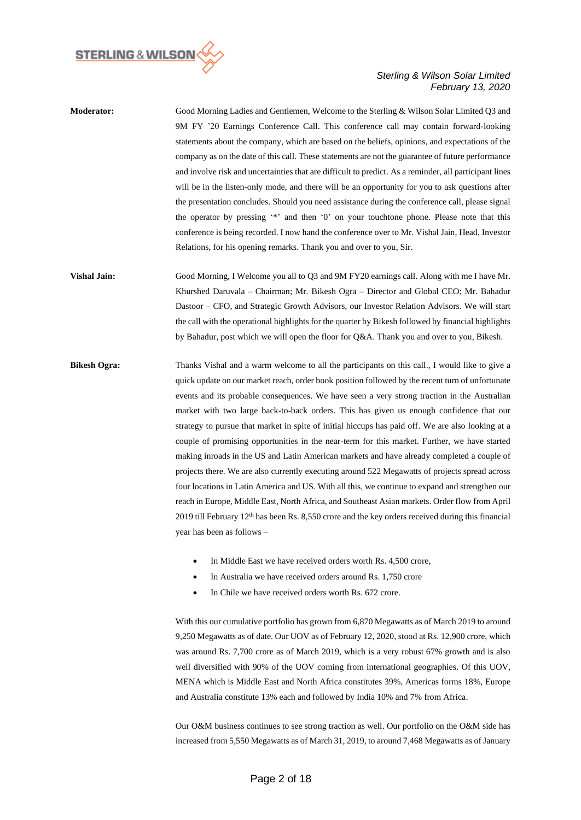

- **Moderator:** Good Morning Ladies and Gentlemen, Welcome to the Sterling & Wilson Solar Limited Q3 and 9M FY '20 Earnings Conference Call. This conference call may contain forward-looking statements about the company, which are based on the beliefs, opinions, and expectations of the company as on the date of this call. These statements are not the guarantee of future performance and involve risk and uncertainties that are difficult to predict. As a reminder, all participant lines will be in the listen-only mode, and there will be an opportunity for you to ask questions after the presentation concludes. Should you need assistance during the conference call, please signal the operator by pressing '\*' and then '0' on your touchtone phone. Please note that this conference is being recorded. I now hand the conference over to Mr. Vishal Jain, Head, Investor Relations, for his opening remarks. Thank you and over to you, Sir.
- **Vishal Jain:** Good Morning, I Welcome you all to Q3 and 9M FY20 earnings call. Along with me I have Mr. Khurshed Daruvala – Chairman; Mr. Bikesh Ogra – Director and Global CEO; Mr. Bahadur Dastoor – CFO, and Strategic Growth Advisors, our Investor Relation Advisors. We will start the call with the operational highlights for the quarter by Bikesh followed by financial highlights by Bahadur, post which we will open the floor for Q&A. Thank you and over to you, Bikesh.
- **Bikesh Ogra:** Thanks Vishal and a warm welcome to all the participants on this call., I would like to give a quick update on our market reach, order book position followed by the recent turn of unfortunate events and its probable consequences. We have seen a very strong traction in the Australian market with two large back-to-back orders. This has given us enough confidence that our strategy to pursue that market in spite of initial hiccups has paid off. We are also looking at a couple of promising opportunities in the near-term for this market. Further, we have started making inroads in the US and Latin American markets and have already completed a couple of projects there. We are also currently executing around 522 Megawatts of projects spread across four locations in Latin America and US. With all this, we continue to expand and strengthen our reach in Europe, Middle East, North Africa, and Southeast Asian markets. Order flow from April 2019 till February 12<sup>th</sup> has been Rs. 8,550 crore and the key orders received during this financial year has been as follows –
	- In Middle East we have received orders worth Rs. 4,500 crore,
	- In Australia we have received orders around Rs. 1,750 crore
	- In Chile we have received orders worth Rs. 672 crore.

With this our cumulative portfolio has grown from 6,870 Megawatts as of March 2019 to around 9,250 Megawatts as of date. Our UOV as of February 12, 2020, stood at Rs. 12,900 crore, which was around Rs. 7,700 crore as of March 2019, which is a very robust 67% growth and is also well diversified with 90% of the UOV coming from international geographies. Of this UOV, MENA which is Middle East and North Africa constitutes 39%, Americas forms 18%, Europe and Australia constitute 13% each and followed by India 10% and 7% from Africa.

Our O&M business continues to see strong traction as well. Our portfolio on the O&M side has increased from 5,550 Megawatts as of March 31, 2019, to around 7,468 Megawatts as of January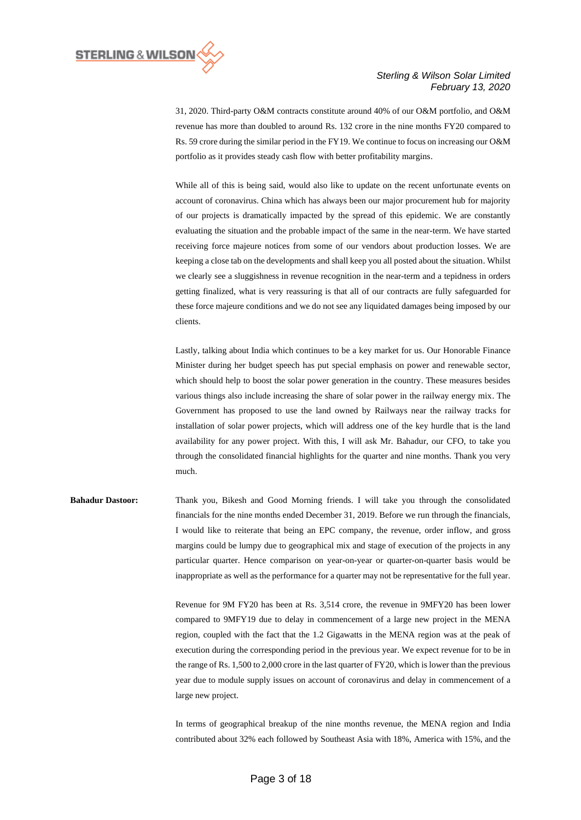

31, 2020. Third-party O&M contracts constitute around 40% of our O&M portfolio, and O&M revenue has more than doubled to around Rs. 132 crore in the nine months FY20 compared to Rs. 59 crore during the similar period in the FY19. We continue to focus on increasing our O&M portfolio as it provides steady cash flow with better profitability margins.

While all of this is being said, would also like to update on the recent unfortunate events on account of coronavirus. China which has always been our major procurement hub for majority of our projects is dramatically impacted by the spread of this epidemic. We are constantly evaluating the situation and the probable impact of the same in the near-term. We have started receiving force majeure notices from some of our vendors about production losses. We are keeping a close tab on the developments and shall keep you all posted about the situation. Whilst we clearly see a sluggishness in revenue recognition in the near-term and a tepidness in orders getting finalized, what is very reassuring is that all of our contracts are fully safeguarded for these force majeure conditions and we do not see any liquidated damages being imposed by our clients.

Lastly, talking about India which continues to be a key market for us. Our Honorable Finance Minister during her budget speech has put special emphasis on power and renewable sector, which should help to boost the solar power generation in the country. These measures besides various things also include increasing the share of solar power in the railway energy mix. The Government has proposed to use the land owned by Railways near the railway tracks for installation of solar power projects, which will address one of the key hurdle that is the land availability for any power project. With this, I will ask Mr. Bahadur, our CFO, to take you through the consolidated financial highlights for the quarter and nine months. Thank you very much.

**Bahadur Dastoor:** Thank you, Bikesh and Good Morning friends. I will take you through the consolidated financials for the nine months ended December 31, 2019. Before we run through the financials, I would like to reiterate that being an EPC company, the revenue, order inflow, and gross margins could be lumpy due to geographical mix and stage of execution of the projects in any particular quarter. Hence comparison on year-on-year or quarter-on-quarter basis would be inappropriate as well as the performance for a quarter may not be representative for the full year.

> Revenue for 9M FY20 has been at Rs. 3,514 crore, the revenue in 9MFY20 has been lower compared to 9MFY19 due to delay in commencement of a large new project in the MENA region, coupled with the fact that the 1.2 Gigawatts in the MENA region was at the peak of execution during the corresponding period in the previous year. We expect revenue for to be in the range of Rs. 1,500 to 2,000 crore in the last quarter of FY20, which is lower than the previous year due to module supply issues on account of coronavirus and delay in commencement of a large new project.

> In terms of geographical breakup of the nine months revenue, the MENA region and India contributed about 32% each followed by Southeast Asia with 18%, America with 15%, and the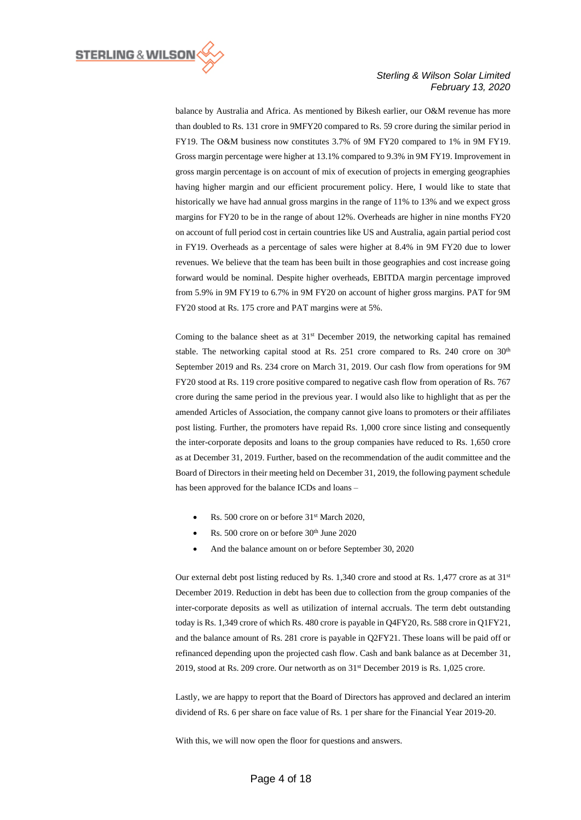

balance by Australia and Africa. As mentioned by Bikesh earlier, our O&M revenue has more than doubled to Rs. 131 crore in 9MFY20 compared to Rs. 59 crore during the similar period in FY19. The O&M business now constitutes 3.7% of 9M FY20 compared to 1% in 9M FY19. Gross margin percentage were higher at 13.1% compared to 9.3% in 9M FY19. Improvement in gross margin percentage is on account of mix of execution of projects in emerging geographies having higher margin and our efficient procurement policy. Here, I would like to state that historically we have had annual gross margins in the range of 11% to 13% and we expect gross margins for FY20 to be in the range of about 12%. Overheads are higher in nine months FY20 on account of full period cost in certain countries like US and Australia, again partial period cost in FY19. Overheads as a percentage of sales were higher at 8.4% in 9M FY20 due to lower revenues. We believe that the team has been built in those geographies and cost increase going forward would be nominal. Despite higher overheads, EBITDA margin percentage improved from 5.9% in 9M FY19 to 6.7% in 9M FY20 on account of higher gross margins. PAT for 9M FY20 stood at Rs. 175 crore and PAT margins were at 5%.

Coming to the balance sheet as at  $31<sup>st</sup>$  December 2019, the networking capital has remained stable. The networking capital stood at Rs. 251 crore compared to Rs. 240 crore on  $30<sup>th</sup>$ September 2019 and Rs. 234 crore on March 31, 2019. Our cash flow from operations for 9M FY20 stood at Rs. 119 crore positive compared to negative cash flow from operation of Rs. 767 crore during the same period in the previous year. I would also like to highlight that as per the amended Articles of Association, the company cannot give loans to promoters or their affiliates post listing. Further, the promoters have repaid Rs. 1,000 crore since listing and consequently the inter-corporate deposits and loans to the group companies have reduced to Rs. 1,650 crore as at December 31, 2019. Further, based on the recommendation of the audit committee and the Board of Directors in their meeting held on December 31, 2019, the following payment schedule has been approved for the balance ICDs and loans –

- Rs. 500 crore on or before 31<sup>st</sup> March 2020,
- Rs. 500 crore on or before 30<sup>th</sup> June 2020
- And the balance amount on or before September 30, 2020

Our external debt post listing reduced by Rs. 1,340 crore and stood at Rs. 1,477 crore as at 31<sup>st</sup> December 2019. Reduction in debt has been due to collection from the group companies of the inter-corporate deposits as well as utilization of internal accruals. The term debt outstanding today is Rs. 1,349 crore of which Rs. 480 crore is payable in Q4FY20, Rs. 588 crore in Q1FY21, and the balance amount of Rs. 281 crore is payable in Q2FY21. These loans will be paid off or refinanced depending upon the projected cash flow. Cash and bank balance as at December 31, 2019, stood at Rs. 209 crore. Our networth as on  $31<sup>st</sup>$  December 2019 is Rs. 1,025 crore.

Lastly, we are happy to report that the Board of Directors has approved and declared an interim dividend of Rs. 6 per share on face value of Rs. 1 per share for the Financial Year 2019-20.

With this, we will now open the floor for questions and answers.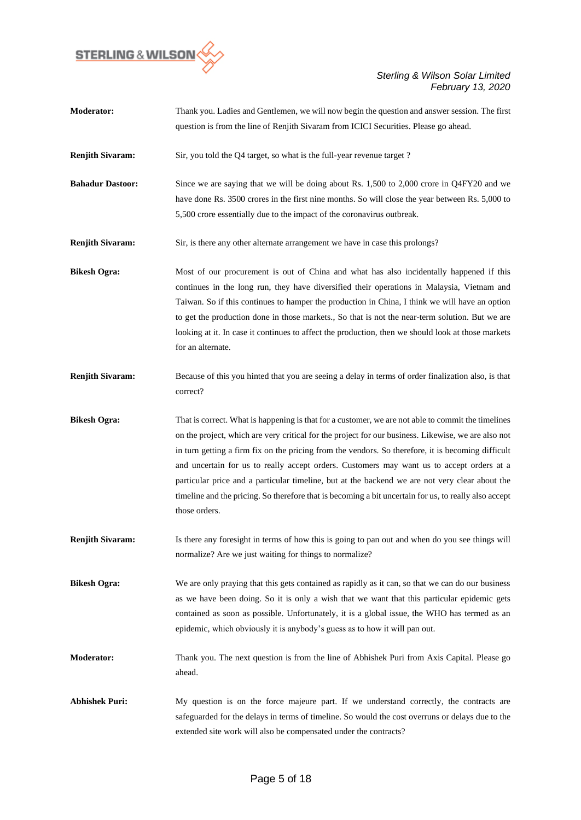

| <b>Moderator:</b>       | Thank you. Ladies and Gentlemen, we will now begin the question and answer session. The first                   |
|-------------------------|-----------------------------------------------------------------------------------------------------------------|
|                         | question is from the line of Renjith Sivaram from ICICI Securities. Please go ahead.                            |
| <b>Renjith Sivaram:</b> | Sir, you told the Q4 target, so what is the full-year revenue target ?                                          |
| <b>Bahadur Dastoor:</b> | Since we are saying that we will be doing about Rs. 1,500 to 2,000 crore in Q4FY20 and we                       |
|                         | have done Rs. 3500 crores in the first nine months. So will close the year between Rs. 5,000 to                 |
|                         | 5,500 crore essentially due to the impact of the coronavirus outbreak.                                          |
| <b>Renjith Sivaram:</b> | Sir, is there any other alternate arrangement we have in case this prolongs?                                    |
| <b>Bikesh Ogra:</b>     | Most of our procurement is out of China and what has also incidentally happened if this                         |
|                         | continues in the long run, they have diversified their operations in Malaysia, Vietnam and                      |
|                         | Taiwan. So if this continues to hamper the production in China, I think we will have an option                  |
|                         | to get the production done in those markets., So that is not the near-term solution. But we are                 |
|                         | looking at it. In case it continues to affect the production, then we should look at those markets              |
|                         | for an alternate.                                                                                               |
| <b>Renjith Sivaram:</b> | Because of this you hinted that you are seeing a delay in terms of order finalization also, is that<br>correct? |
| <b>Bikesh Ogra:</b>     | That is correct. What is happening is that for a customer, we are not able to commit the timelines              |
|                         | on the project, which are very critical for the project for our business. Likewise, we are also not             |
|                         | in turn getting a firm fix on the pricing from the vendors. So therefore, it is becoming difficult              |
|                         | and uncertain for us to really accept orders. Customers may want us to accept orders at a                       |
|                         | particular price and a particular timeline, but at the backend we are not very clear about the                  |
|                         | timeline and the pricing. So therefore that is becoming a bit uncertain for us, to really also accept           |
|                         | those orders.                                                                                                   |
| <b>Renjith Sivaram:</b> | Is there any foresight in terms of how this is going to pan out and when do you see things will                 |
|                         | normalize? Are we just waiting for things to normalize?                                                         |
| <b>Bikesh Ogra:</b>     | We are only praying that this gets contained as rapidly as it can, so that we can do our business               |
|                         | as we have been doing. So it is only a wish that we want that this particular epidemic gets                     |
|                         | contained as soon as possible. Unfortunately, it is a global issue, the WHO has termed as an                    |
|                         | epidemic, which obviously it is anybody's guess as to how it will pan out.                                      |
| <b>Moderator:</b>       | Thank you. The next question is from the line of Abhishek Puri from Axis Capital. Please go                     |
|                         | ahead.                                                                                                          |
| <b>Abhishek Puri:</b>   | My question is on the force majeure part. If we understand correctly, the contracts are                         |
|                         | safeguarded for the delays in terms of timeline. So would the cost overruns or delays due to the                |
|                         | extended site work will also be compensated under the contracts?                                                |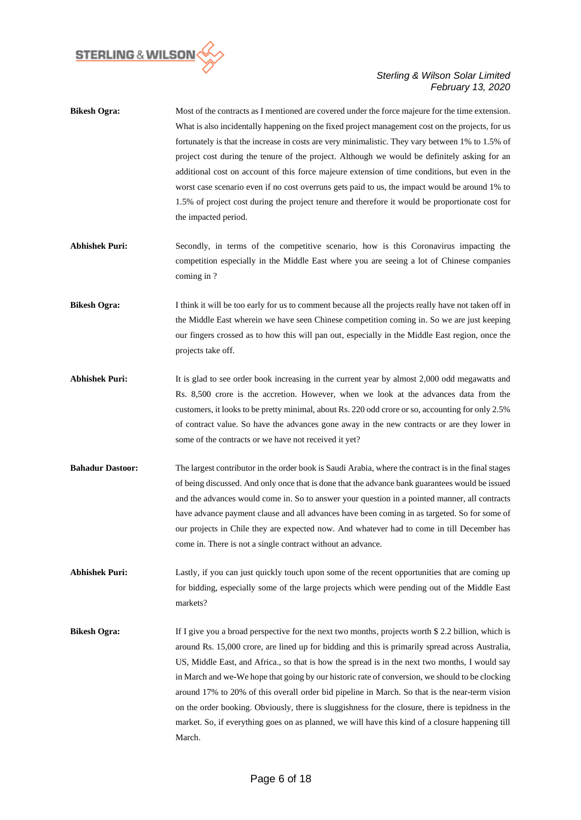

| <b>Bikesh Ogra:</b> | Most of the contracts as I mentioned are covered under the force majeure for the time extension. |
|---------------------|--------------------------------------------------------------------------------------------------|
|                     | What is also incidentally happening on the fixed project management cost on the projects, for us |
|                     | fortunately is that the increase in costs are very minimalistic. They vary between 1% to 1.5% of |
|                     | project cost during the tenure of the project. Although we would be definitely asking for an     |
|                     | additional cost on account of this force majeure extension of time conditions, but even in the   |
|                     | worst case scenario even if no cost overruns gets paid to us, the impact would be around 1% to   |
|                     | 1.5% of project cost during the project tenure and therefore it would be proportionate cost for  |
|                     | the impacted period.                                                                             |

- Abhishek Puri: Secondly, in terms of the competitive scenario, how is this Coronavirus impacting the competition especially in the Middle East where you are seeing a lot of Chinese companies coming in ?
- **Bikesh Ogra:** I think it will be too early for us to comment because all the projects really have not taken off in the Middle East wherein we have seen Chinese competition coming in. So we are just keeping our fingers crossed as to how this will pan out, especially in the Middle East region, once the projects take off.
- **Abhishek Puri:** It is glad to see order book increasing in the current year by almost 2,000 odd megawatts and Rs. 8,500 crore is the accretion. However, when we look at the advances data from the customers, it looks to be pretty minimal, about Rs. 220 odd crore or so, accounting for only 2.5% of contract value. So have the advances gone away in the new contracts or are they lower in some of the contracts or we have not received it yet?
- **Bahadur Dastoor:** The largest contributor in the order book is Saudi Arabia, where the contract is in the final stages of being discussed. And only once that is done that the advance bank guarantees would be issued and the advances would come in. So to answer your question in a pointed manner, all contracts have advance payment clause and all advances have been coming in as targeted. So for some of our projects in Chile they are expected now. And whatever had to come in till December has come in. There is not a single contract without an advance.

Abhishek Puri: Lastly, if you can just quickly touch upon some of the recent opportunities that are coming up for bidding, especially some of the large projects which were pending out of the Middle East markets?

**Bikesh Ogra:** If I give you a broad perspective for the next two months, projects worth \$ 2.2 billion, which is around Rs. 15,000 crore, are lined up for bidding and this is primarily spread across Australia, US, Middle East, and Africa., so that is how the spread is in the next two months, I would say in March and we-We hope that going by our historic rate of conversion, we should to be clocking around 17% to 20% of this overall order bid pipeline in March. So that is the near-term vision on the order booking. Obviously, there is sluggishness for the closure, there is tepidness in the market. So, if everything goes on as planned, we will have this kind of a closure happening till March.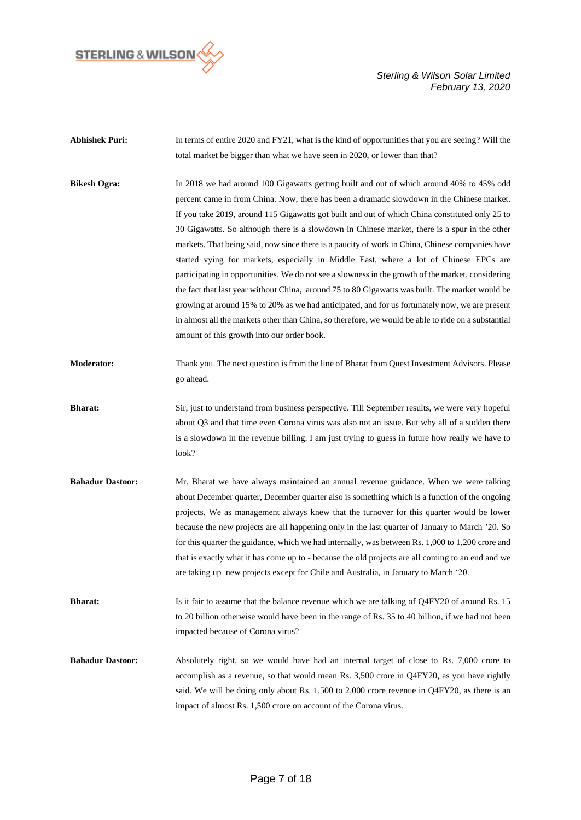

- Abhishek Puri: In terms of entire 2020 and FY21, what is the kind of opportunities that you are seeing? Will the total market be bigger than what we have seen in 2020, or lower than that?
- **Bikesh Ogra:** In 2018 we had around 100 Gigawatts getting built and out of which around 40% to 45% odd percent came in from China. Now, there has been a dramatic slowdown in the Chinese market. If you take 2019, around 115 Gigawatts got built and out of which China constituted only 25 to 30 Gigawatts. So although there is a slowdown in Chinese market, there is a spur in the other markets. That being said, now since there is a paucity of work in China, Chinese companies have started vying for markets, especially in Middle East, where a lot of Chinese EPCs are participating in opportunities. We do not see a slowness in the growth of the market, considering the fact that last year without China, around 75 to 80 Gigawatts was built. The market would be growing at around 15% to 20% as we had anticipated, and for us fortunately now, we are present in almost all the markets other than China, so therefore, we would be able to ride on a substantial amount of this growth into our order book.
- **Moderator:** Thank you. The next question is from the line of Bharat from Quest Investment Advisors. Please go ahead.
- **Bharat:** Sir, just to understand from business perspective. Till September results, we were very hopeful about Q3 and that time even Corona virus was also not an issue. But why all of a sudden there is a slowdown in the revenue billing. I am just trying to guess in future how really we have to look?
- **Bahadur Dastoor:** Mr. Bharat we have always maintained an annual revenue guidance. When we were talking about December quarter, December quarter also is something which is a function of the ongoing projects. We as management always knew that the turnover for this quarter would be lower because the new projects are all happening only in the last quarter of January to March '20. So for this quarter the guidance, which we had internally, was between Rs. 1,000 to 1,200 crore and that is exactly what it has come up to - because the old projects are all coming to an end and we are taking up new projects except for Chile and Australia, in January to March '20.
- **Bharat:** Is it fair to assume that the balance revenue which we are talking of Q4FY20 of around Rs. 15 to 20 billion otherwise would have been in the range of Rs. 35 to 40 billion, if we had not been impacted because of Corona virus?
- **Bahadur Dastoor:** Absolutely right, so we would have had an internal target of close to Rs. 7,000 crore to accomplish as a revenue, so that would mean Rs. 3,500 crore in Q4FY20, as you have rightly said. We will be doing only about Rs. 1,500 to 2,000 crore revenue in Q4FY20, as there is an impact of almost Rs. 1,500 crore on account of the Corona virus.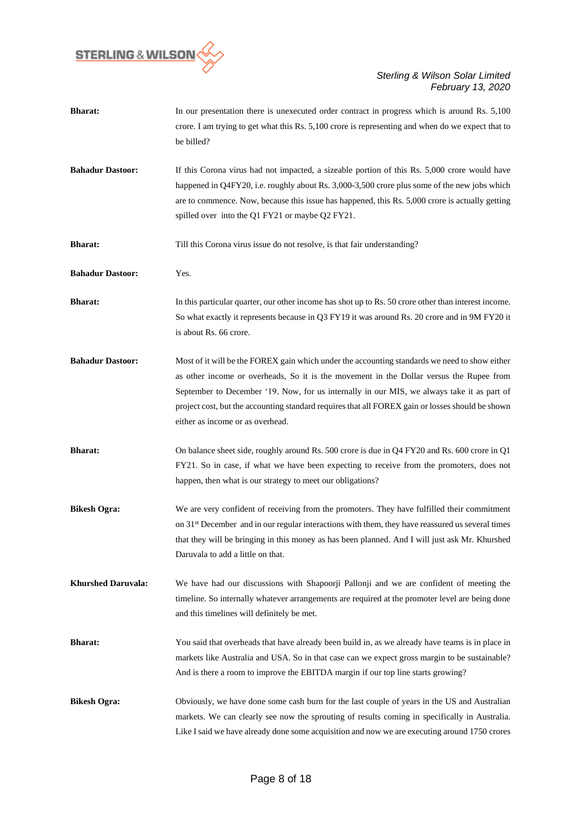

| <b>Bharat:</b>            | In our presentation there is unexecuted order contract in progress which is around Rs. 5,100<br>crore. I am trying to get what this Rs. 5,100 crore is representing and when do we expect that to<br>be billed?                                                                                                                                                                                                                |
|---------------------------|--------------------------------------------------------------------------------------------------------------------------------------------------------------------------------------------------------------------------------------------------------------------------------------------------------------------------------------------------------------------------------------------------------------------------------|
| <b>Bahadur Dastoor:</b>   | If this Corona virus had not impacted, a sizeable portion of this Rs. 5,000 crore would have<br>happened in Q4FY20, i.e. roughly about Rs. 3,000-3,500 crore plus some of the new jobs which<br>are to commence. Now, because this issue has happened, this Rs. 5,000 crore is actually getting<br>spilled over into the Q1 FY21 or maybe Q2 FY21.                                                                             |
| <b>Bharat:</b>            | Till this Corona virus issue do not resolve, is that fair understanding?                                                                                                                                                                                                                                                                                                                                                       |
| <b>Bahadur Dastoor:</b>   | Yes.                                                                                                                                                                                                                                                                                                                                                                                                                           |
| <b>Bharat:</b>            | In this particular quarter, our other income has shot up to Rs. 50 crore other than interest income.<br>So what exactly it represents because in Q3 FY19 it was around Rs. 20 crore and in 9M FY20 it<br>is about Rs. 66 crore.                                                                                                                                                                                                |
| <b>Bahadur Dastoor:</b>   | Most of it will be the FOREX gain which under the accounting standards we need to show either<br>as other income or overheads, So it is the movement in the Dollar versus the Rupee from<br>September to December '19. Now, for us internally in our MIS, we always take it as part of<br>project cost, but the accounting standard requires that all FOREX gain or losses should be shown<br>either as income or as overhead. |
| <b>Bharat:</b>            | On balance sheet side, roughly around Rs. 500 crore is due in Q4 FY20 and Rs. 600 crore in Q1<br>FY21. So in case, if what we have been expecting to receive from the promoters, does not<br>happen, then what is our strategy to meet our obligations?                                                                                                                                                                        |
| <b>Bikesh Ogra:</b>       | We are very confident of receiving from the promoters. They have fulfilled their commitment<br>on 31 <sup>st</sup> December and in our regular interactions with them, they have reassured us several times<br>that they will be bringing in this money as has been planned. And I will just ask Mr. Khurshed<br>Daruvala to add a little on that.                                                                             |
| <b>Khurshed Daruvala:</b> | We have had our discussions with Shapoorji Pallonji and we are confident of meeting the<br>timeline. So internally whatever arrangements are required at the promoter level are being done<br>and this timelines will definitely be met.                                                                                                                                                                                       |
| <b>Bharat:</b>            | You said that overheads that have already been build in, as we already have teams is in place in<br>markets like Australia and USA. So in that case can we expect gross margin to be sustainable?<br>And is there a room to improve the EBITDA margin if our top line starts growing?                                                                                                                                          |
| <b>Bikesh Ogra:</b>       | Obviously, we have done some cash burn for the last couple of years in the US and Australian<br>markets. We can clearly see now the sprouting of results coming in specifically in Australia.<br>Like I said we have already done some acquisition and now we are executing around 1750 crores                                                                                                                                 |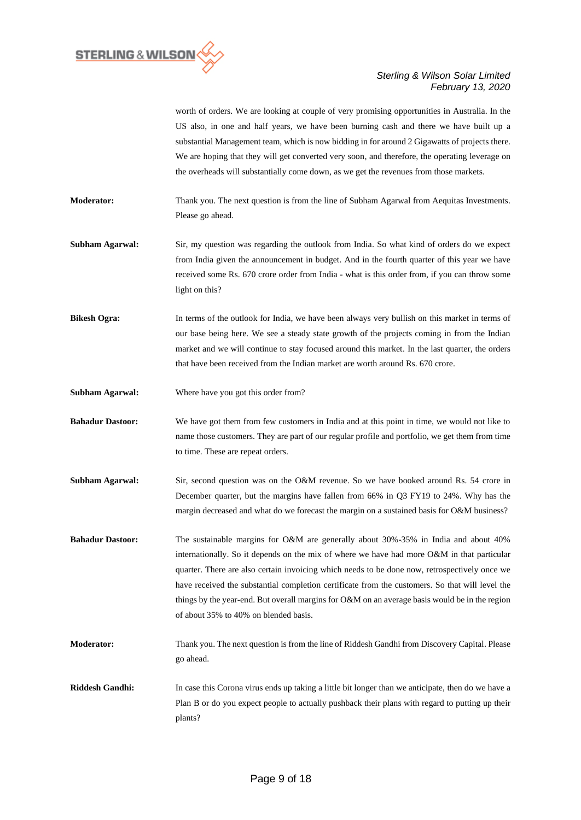

worth of orders. We are looking at couple of very promising opportunities in Australia. In the US also, in one and half years, we have been burning cash and there we have built up a substantial Management team, which is now bidding in for around 2 Gigawatts of projects there. We are hoping that they will get converted very soon, and therefore, the operating leverage on the overheads will substantially come down, as we get the revenues from those markets.

**Moderator:** Thank you. The next question is from the line of Subham Agarwal from Aequitas Investments. Please go ahead.

- **Subham Agarwal:** Sir, my question was regarding the outlook from India. So what kind of orders do we expect from India given the announcement in budget. And in the fourth quarter of this year we have received some Rs. 670 crore order from India - what is this order from, if you can throw some light on this?
- **Bikesh Ogra:** In terms of the outlook for India, we have been always very bullish on this market in terms of our base being here. We see a steady state growth of the projects coming in from the Indian market and we will continue to stay focused around this market. In the last quarter, the orders that have been received from the Indian market are worth around Rs. 670 crore.
- **Subham Agarwal:** Where have you got this order from?

**Bahadur Dastoor:** We have got them from few customers in India and at this point in time, we would not like to name those customers. They are part of our regular profile and portfolio, we get them from time to time. These are repeat orders.

- **Subham Agarwal:** Sir, second question was on the O&M revenue. So we have booked around Rs. 54 crore in December quarter, but the margins have fallen from 66% in Q3 FY19 to 24%. Why has the margin decreased and what do we forecast the margin on a sustained basis for O&M business?
- **Bahadur Dastoor:** The sustainable margins for O&M are generally about 30%-35% in India and about 40% internationally. So it depends on the mix of where we have had more O&M in that particular quarter. There are also certain invoicing which needs to be done now, retrospectively once we have received the substantial completion certificate from the customers. So that will level the things by the year-end. But overall margins for O&M on an average basis would be in the region of about 35% to 40% on blended basis.
- **Moderator:** Thank you. The next question is from the line of Riddesh Gandhi from Discovery Capital. Please go ahead.
- **Riddesh Gandhi:** In case this Corona virus ends up taking a little bit longer than we anticipate, then do we have a Plan B or do you expect people to actually pushback their plans with regard to putting up their plants?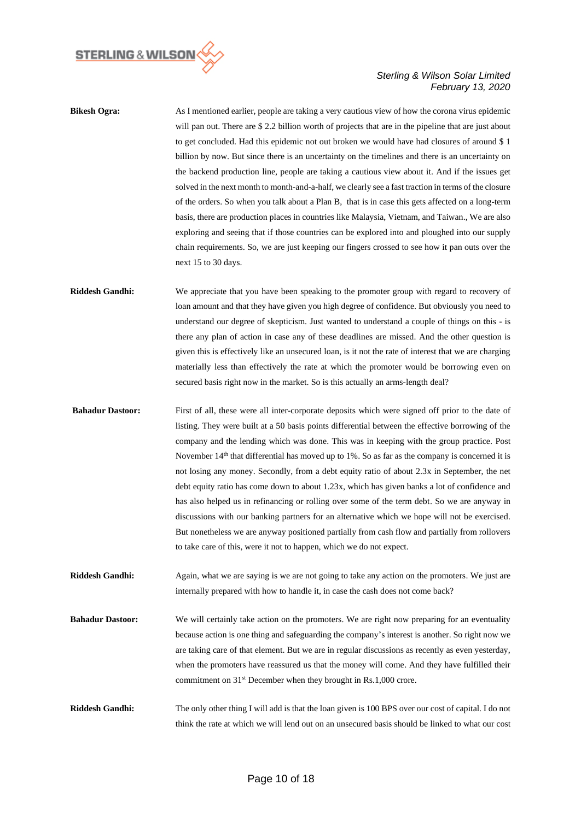

**Bikesh Ogra:** As I mentioned earlier, people are taking a very cautious view of how the corona virus epidemic will pan out. There are \$2.2 billion worth of projects that are in the pipeline that are just about to get concluded. Had this epidemic not out broken we would have had closures of around \$ 1 billion by now. But since there is an uncertainty on the timelines and there is an uncertainty on the backend production line, people are taking a cautious view about it. And if the issues get solved in the next month to month-and-a-half, we clearly see a fast traction in terms of the closure of the orders. So when you talk about a Plan B, that is in case this gets affected on a long-term basis, there are production places in countries like Malaysia, Vietnam, and Taiwan., We are also exploring and seeing that if those countries can be explored into and ploughed into our supply chain requirements. So, we are just keeping our fingers crossed to see how it pan outs over the next 15 to 30 days.

**Riddesh Gandhi:** We appreciate that you have been speaking to the promoter group with regard to recovery of loan amount and that they have given you high degree of confidence. But obviously you need to understand our degree of skepticism. Just wanted to understand a couple of things on this - is there any plan of action in case any of these deadlines are missed. And the other question is given this is effectively like an unsecured loan, is it not the rate of interest that we are charging materially less than effectively the rate at which the promoter would be borrowing even on secured basis right now in the market. So is this actually an arms-length deal?

**Bahadur Dastoor:** First of all, these were all inter-corporate deposits which were signed off prior to the date of listing. They were built at a 50 basis points differential between the effective borrowing of the company and the lending which was done. This was in keeping with the group practice. Post November  $14<sup>th</sup>$  that differential has moved up to 1%. So as far as the company is concerned it is not losing any money. Secondly, from a debt equity ratio of about 2.3x in September, the net debt equity ratio has come down to about 1.23x, which has given banks a lot of confidence and has also helped us in refinancing or rolling over some of the term debt. So we are anyway in discussions with our banking partners for an alternative which we hope will not be exercised. But nonetheless we are anyway positioned partially from cash flow and partially from rollovers to take care of this, were it not to happen, which we do not expect.

**Riddesh Gandhi:** Again, what we are saying is we are not going to take any action on the promoters. We just are internally prepared with how to handle it, in case the cash does not come back?

- **Bahadur Dastoor:** We will certainly take action on the promoters. We are right now preparing for an eventuality because action is one thing and safeguarding the company's interest is another. So right now we are taking care of that element. But we are in regular discussions as recently as even yesterday, when the promoters have reassured us that the money will come. And they have fulfilled their commitment on 31st December when they brought in Rs.1,000 crore.
- **Riddesh Gandhi:** The only other thing I will add is that the loan given is 100 BPS over our cost of capital. I do not think the rate at which we will lend out on an unsecured basis should be linked to what our cost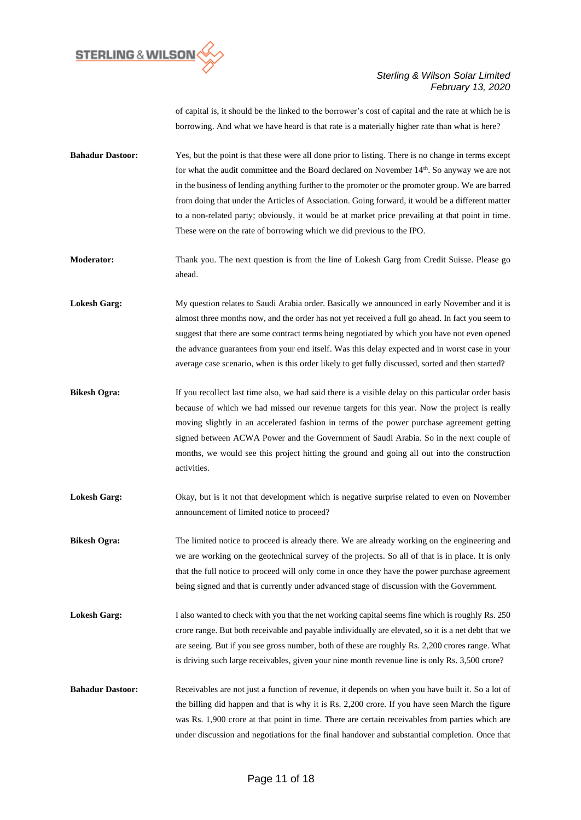

of capital is, it should be the linked to the borrower's cost of capital and the rate at which he is borrowing. And what we have heard is that rate is a materially higher rate than what is here?

- **Bahadur Dastoor:** Yes, but the point is that these were all done prior to listing. There is no change in terms except for what the audit committee and the Board declared on November 14<sup>th</sup>. So anyway we are not in the business of lending anything further to the promoter or the promoter group. We are barred from doing that under the Articles of Association. Going forward, it would be a different matter to a non-related party; obviously, it would be at market price prevailing at that point in time. These were on the rate of borrowing which we did previous to the IPO.
- **Moderator:** Thank you. The next question is from the line of Lokesh Garg from Credit Suisse. Please go ahead.
- **Lokesh Garg:** My question relates to Saudi Arabia order. Basically we announced in early November and it is almost three months now, and the order has not yet received a full go ahead. In fact you seem to suggest that there are some contract terms being negotiated by which you have not even opened the advance guarantees from your end itself. Was this delay expected and in worst case in your average case scenario, when is this order likely to get fully discussed, sorted and then started?
- **Bikesh Ogra:** If you recollect last time also, we had said there is a visible delay on this particular order basis because of which we had missed our revenue targets for this year. Now the project is really moving slightly in an accelerated fashion in terms of the power purchase agreement getting signed between ACWA Power and the Government of Saudi Arabia. So in the next couple of months, we would see this project hitting the ground and going all out into the construction activities.
- **Lokesh Garg:** Okay, but is it not that development which is negative surprise related to even on November announcement of limited notice to proceed?
- **Bikesh Ogra:** The limited notice to proceed is already there. We are already working on the engineering and we are working on the geotechnical survey of the projects. So all of that is in place. It is only that the full notice to proceed will only come in once they have the power purchase agreement being signed and that is currently under advanced stage of discussion with the Government.
- Lokesh Garg: I also wanted to check with you that the net working capital seems fine which is roughly Rs. 250 crore range. But both receivable and payable individually are elevated, so it is a net debt that we are seeing. But if you see gross number, both of these are roughly Rs. 2,200 crores range. What is driving such large receivables, given your nine month revenue line is only Rs. 3,500 crore?
- **Bahadur Dastoor:** Receivables are not just a function of revenue, it depends on when you have built it. So a lot of the billing did happen and that is why it is Rs. 2,200 crore. If you have seen March the figure was Rs. 1,900 crore at that point in time. There are certain receivables from parties which are under discussion and negotiations for the final handover and substantial completion. Once that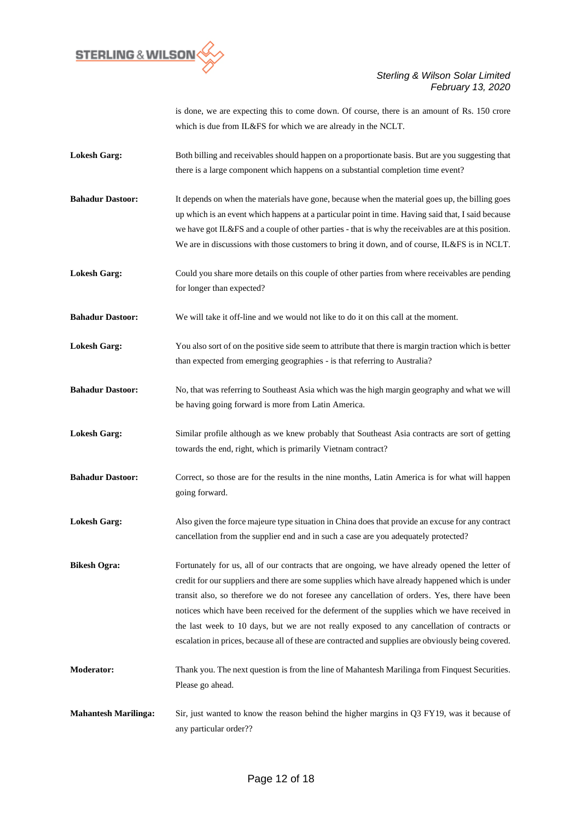

is done, we are expecting this to come down. Of course, there is an amount of Rs. 150 crore which is due from IL&FS for which we are already in the NCLT.

- Lokesh Garg: Both billing and receivables should happen on a proportionate basis. But are you suggesting that there is a large component which happens on a substantial completion time event?
- **Bahadur Dastoor:** It depends on when the materials have gone, because when the material goes up, the billing goes up which is an event which happens at a particular point in time. Having said that, I said because we have got IL&FS and a couple of other parties - that is why the receivables are at this position. We are in discussions with those customers to bring it down, and of course, IL&FS is in NCLT.
- **Lokesh Garg:** Could you share more details on this couple of other parties from where receivables are pending for longer than expected?

**Bahadur Dastoor:** We will take it off-line and we would not like to do it on this call at the moment.

- Lokesh Garg: You also sort of on the positive side seem to attribute that there is margin traction which is better than expected from emerging geographies - is that referring to Australia?
- **Bahadur Dastoor:** No, that was referring to Southeast Asia which was the high margin geography and what we will be having going forward is more from Latin America.
- **Lokesh Garg:** Similar profile although as we knew probably that Southeast Asia contracts are sort of getting towards the end, right, which is primarily Vietnam contract?
- **Bahadur Dastoor:** Correct, so those are for the results in the nine months, Latin America is for what will happen going forward.
- **Lokesh Garg:** Also given the force majeure type situation in China does that provide an excuse for any contract cancellation from the supplier end and in such a case are you adequately protected?
- **Bikesh Ogra:** Fortunately for us, all of our contracts that are ongoing, we have already opened the letter of credit for our suppliers and there are some supplies which have already happened which is under transit also, so therefore we do not foresee any cancellation of orders. Yes, there have been notices which have been received for the deferment of the supplies which we have received in the last week to 10 days, but we are not really exposed to any cancellation of contracts or escalation in prices, because all of these are contracted and supplies are obviously being covered.
- **Moderator:** Thank you. The next question is from the line of Mahantesh Marilinga from Finquest Securities. Please go ahead.
- **Mahantesh Marilinga:** Sir, just wanted to know the reason behind the higher margins in Q3 FY19, was it because of any particular order??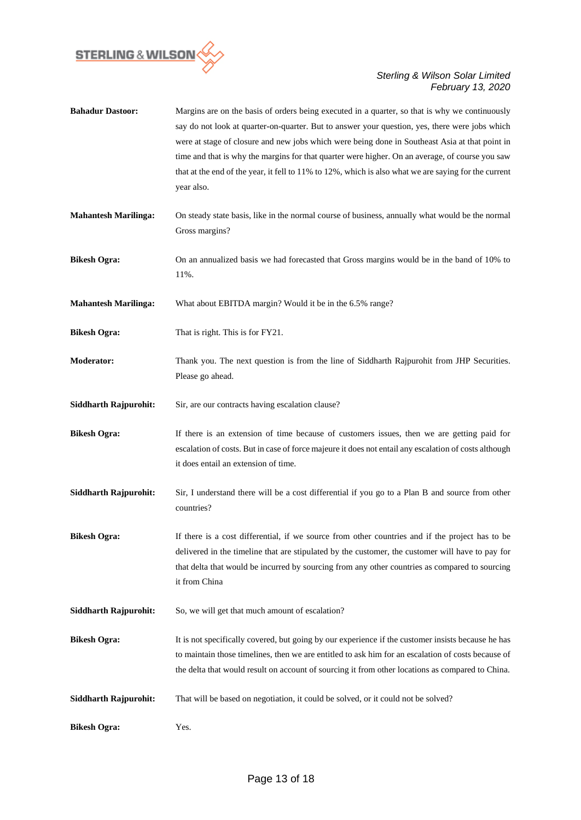

| <b>Bahadur Dastoor:</b>      | Margins are on the basis of orders being executed in a quarter, so that is why we continuously<br>say do not look at quarter-on-quarter. But to answer your question, yes, there were jobs which<br>were at stage of closure and new jobs which were being done in Southeast Asia at that point in<br>time and that is why the margins for that quarter were higher. On an average, of course you saw<br>that at the end of the year, it fell to 11% to 12%, which is also what we are saying for the current<br>year also. |
|------------------------------|-----------------------------------------------------------------------------------------------------------------------------------------------------------------------------------------------------------------------------------------------------------------------------------------------------------------------------------------------------------------------------------------------------------------------------------------------------------------------------------------------------------------------------|
| <b>Mahantesh Marilinga:</b>  | On steady state basis, like in the normal course of business, annually what would be the normal<br>Gross margins?                                                                                                                                                                                                                                                                                                                                                                                                           |
| <b>Bikesh Ogra:</b>          | On an annualized basis we had forecasted that Gross margins would be in the band of 10% to<br>11%.                                                                                                                                                                                                                                                                                                                                                                                                                          |
| <b>Mahantesh Marilinga:</b>  | What about EBITDA margin? Would it be in the 6.5% range?                                                                                                                                                                                                                                                                                                                                                                                                                                                                    |
| <b>Bikesh Ogra:</b>          | That is right. This is for FY21.                                                                                                                                                                                                                                                                                                                                                                                                                                                                                            |
| <b>Moderator:</b>            | Thank you. The next question is from the line of Siddharth Rajpurohit from JHP Securities.<br>Please go ahead.                                                                                                                                                                                                                                                                                                                                                                                                              |
| <b>Siddharth Rajpurohit:</b> | Sir, are our contracts having escalation clause?                                                                                                                                                                                                                                                                                                                                                                                                                                                                            |
| <b>Bikesh Ogra:</b>          | If there is an extension of time because of customers issues, then we are getting paid for<br>escalation of costs. But in case of force majeure it does not entail any escalation of costs although<br>it does entail an extension of time.                                                                                                                                                                                                                                                                                 |
| <b>Siddharth Rajpurohit:</b> | Sir, I understand there will be a cost differential if you go to a Plan B and source from other<br>countries?                                                                                                                                                                                                                                                                                                                                                                                                               |
| <b>Bikesh Ogra:</b>          | If there is a cost differential, if we source from other countries and if the project has to be<br>delivered in the timeline that are stipulated by the customer, the customer will have to pay for<br>that delta that would be incurred by sourcing from any other countries as compared to sourcing<br>it from China                                                                                                                                                                                                      |
| <b>Siddharth Rajpurohit:</b> | So, we will get that much amount of escalation?                                                                                                                                                                                                                                                                                                                                                                                                                                                                             |
| <b>Bikesh Ogra:</b>          | It is not specifically covered, but going by our experience if the customer insists because he has<br>to maintain those timelines, then we are entitled to ask him for an escalation of costs because of<br>the delta that would result on account of sourcing it from other locations as compared to China.                                                                                                                                                                                                                |
| <b>Siddharth Rajpurohit:</b> | That will be based on negotiation, it could be solved, or it could not be solved?                                                                                                                                                                                                                                                                                                                                                                                                                                           |
| <b>Bikesh Ogra:</b>          | Yes.                                                                                                                                                                                                                                                                                                                                                                                                                                                                                                                        |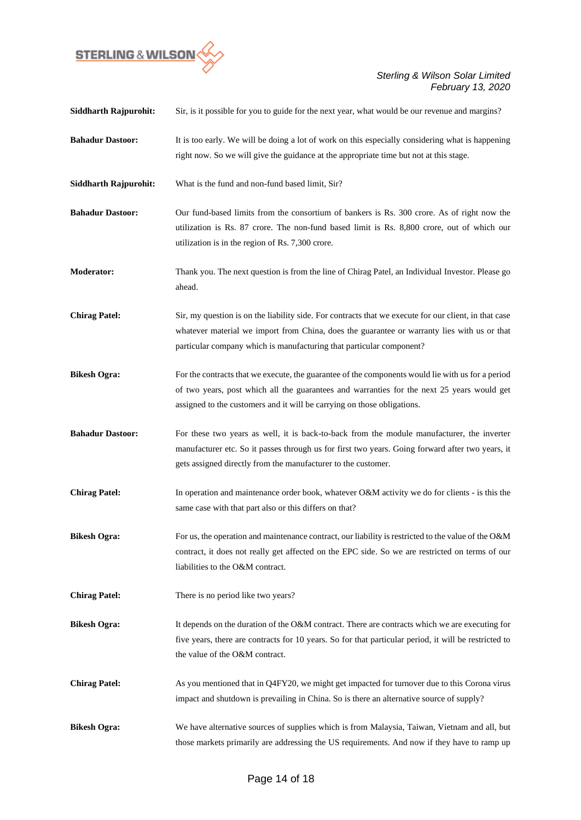

| <b>Siddharth Rajpurohit:</b> | Sir, is it possible for you to guide for the next year, what would be our revenue and margins?                                                                                                                                                                               |
|------------------------------|------------------------------------------------------------------------------------------------------------------------------------------------------------------------------------------------------------------------------------------------------------------------------|
| <b>Bahadur Dastoor:</b>      | It is too early. We will be doing a lot of work on this especially considering what is happening<br>right now. So we will give the guidance at the appropriate time but not at this stage.                                                                                   |
| <b>Siddharth Rajpurohit:</b> | What is the fund and non-fund based limit, Sir?                                                                                                                                                                                                                              |
| <b>Bahadur Dastoor:</b>      | Our fund-based limits from the consortium of bankers is Rs. 300 crore. As of right now the<br>utilization is Rs. 87 crore. The non-fund based limit is Rs. 8,800 crore, out of which our<br>utilization is in the region of Rs. 7,300 crore.                                 |
| <b>Moderator:</b>            | Thank you. The next question is from the line of Chirag Patel, an Individual Investor. Please go<br>ahead.                                                                                                                                                                   |
| <b>Chirag Patel:</b>         | Sir, my question is on the liability side. For contracts that we execute for our client, in that case<br>whatever material we import from China, does the guarantee or warranty lies with us or that<br>particular company which is manufacturing that particular component? |
| <b>Bikesh Ogra:</b>          | For the contracts that we execute, the guarantee of the components would lie with us for a period<br>of two years, post which all the guarantees and warranties for the next 25 years would get<br>assigned to the customers and it will be carrying on those obligations.   |
| <b>Bahadur Dastoor:</b>      | For these two years as well, it is back-to-back from the module manufacturer, the inverter<br>manufacturer etc. So it passes through us for first two years. Going forward after two years, it<br>gets assigned directly from the manufacturer to the customer.              |
| <b>Chirag Patel:</b>         | In operation and maintenance order book, whatever O&M activity we do for clients - is this the<br>same case with that part also or this differs on that?                                                                                                                     |
| <b>Bikesh Ogra:</b>          | For us, the operation and maintenance contract, our liability is restricted to the value of the O&M<br>contract, it does not really get affected on the EPC side. So we are restricted on terms of our<br>liabilities to the O&M contract.                                   |
| <b>Chirag Patel:</b>         | There is no period like two years?                                                                                                                                                                                                                                           |
| <b>Bikesh Ogra:</b>          | It depends on the duration of the O&M contract. There are contracts which we are executing for<br>five years, there are contracts for 10 years. So for that particular period, it will be restricted to<br>the value of the O&M contract.                                    |
| <b>Chirag Patel:</b>         | As you mentioned that in Q4FY20, we might get impacted for turnover due to this Corona virus<br>impact and shutdown is prevailing in China. So is there an alternative source of supply?                                                                                     |
| <b>Bikesh Ogra:</b>          | We have alternative sources of supplies which is from Malaysia, Taiwan, Vietnam and all, but<br>those markets primarily are addressing the US requirements. And now if they have to ramp up                                                                                  |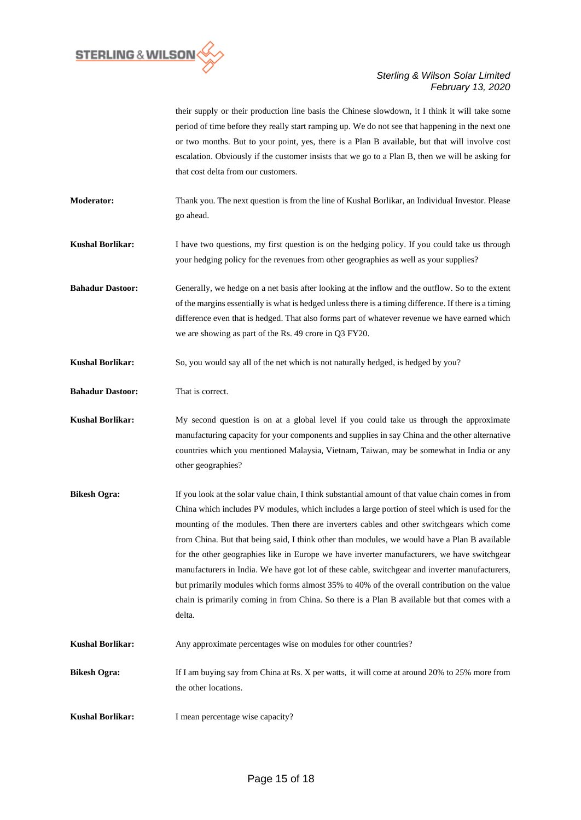

their supply or their production line basis the Chinese slowdown, it I think it will take some period of time before they really start ramping up. We do not see that happening in the next one or two months. But to your point, yes, there is a Plan B available, but that will involve cost escalation. Obviously if the customer insists that we go to a Plan B, then we will be asking for that cost delta from our customers.

**Moderator:** Thank you. The next question is from the line of Kushal Borlikar, an Individual Investor. Please go ahead.

**Kushal Borlikar:** I have two questions, my first question is on the hedging policy. If you could take us through your hedging policy for the revenues from other geographies as well as your supplies?

**Bahadur Dastoor:** Generally, we hedge on a net basis after looking at the inflow and the outflow. So to the extent of the margins essentially is what is hedged unless there is a timing difference. If there is a timing difference even that is hedged. That also forms part of whatever revenue we have earned which we are showing as part of the Rs. 49 crore in Q3 FY20.

**Kushal Borlikar:** So, you would say all of the net which is not naturally hedged, is hedged by you?

**Bahadur Dastoor:** That is correct.

**Kushal Borlikar:** My second question is on at a global level if you could take us through the approximate manufacturing capacity for your components and supplies in say China and the other alternative countries which you mentioned Malaysia, Vietnam, Taiwan, may be somewhat in India or any other geographies?

- **Bikesh Ogra:** If you look at the solar value chain, I think substantial amount of that value chain comes in from China which includes PV modules, which includes a large portion of steel which is used for the mounting of the modules. Then there are inverters cables and other switchgears which come from China. But that being said, I think other than modules, we would have a Plan B available for the other geographies like in Europe we have inverter manufacturers, we have switchgear manufacturers in India. We have got lot of these cable, switchgear and inverter manufacturers, but primarily modules which forms almost 35% to 40% of the overall contribution on the value chain is primarily coming in from China. So there is a Plan B available but that comes with a delta.
- Kushal Borlikar: Any approximate percentages wise on modules for other countries?

**Bikesh Ogra:** If I am buying say from China at Rs. X per watts, it will come at around 20% to 25% more from the other locations.

**Kushal Borlikar:** I mean percentage wise capacity?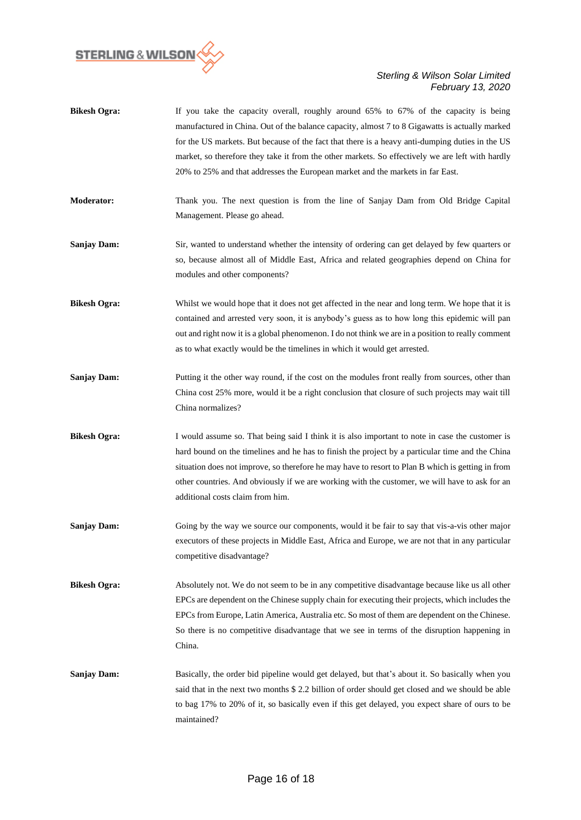

- **Bikesh Ogra:** If you take the capacity overall, roughly around 65% to 67% of the capacity is being manufactured in China. Out of the balance capacity, almost 7 to 8 Gigawatts is actually marked for the US markets. But because of the fact that there is a heavy anti-dumping duties in the US market, so therefore they take it from the other markets. So effectively we are left with hardly 20% to 25% and that addresses the European market and the markets in far East.
- **Moderator:** Thank you. The next question is from the line of Sanjay Dam from Old Bridge Capital Management. Please go ahead.
- **Sanjay Dam:** Sir, wanted to understand whether the intensity of ordering can get delayed by few quarters or so, because almost all of Middle East, Africa and related geographies depend on China for modules and other components?
- **Bikesh Ogra:** Whilst we would hope that it does not get affected in the near and long term. We hope that it is contained and arrested very soon, it is anybody's guess as to how long this epidemic will pan out and right now it is a global phenomenon. I do not think we are in a position to really comment as to what exactly would be the timelines in which it would get arrested.
- **Sanjay Dam:** Putting it the other way round, if the cost on the modules front really from sources, other than China cost 25% more, would it be a right conclusion that closure of such projects may wait till China normalizes?
- **Bikesh Ogra:** I would assume so. That being said I think it is also important to note in case the customer is hard bound on the timelines and he has to finish the project by a particular time and the China situation does not improve, so therefore he may have to resort to Plan B which is getting in from other countries. And obviously if we are working with the customer, we will have to ask for an additional costs claim from him.
- **Sanjay Dam:** Going by the way we source our components, would it be fair to say that vis-a-vis other major executors of these projects in Middle East, Africa and Europe, we are not that in any particular competitive disadvantage?

**Bikesh Ogra:** Absolutely not. We do not seem to be in any competitive disadvantage because like us all other EPCs are dependent on the Chinese supply chain for executing their projects, which includes the EPCs from Europe, Latin America, Australia etc. So most of them are dependent on the Chinese. So there is no competitive disadvantage that we see in terms of the disruption happening in China.

**Sanjay Dam:** Basically, the order bid pipeline would get delayed, but that's about it. So basically when you said that in the next two months \$ 2.2 billion of order should get closed and we should be able to bag 17% to 20% of it, so basically even if this get delayed, you expect share of ours to be maintained?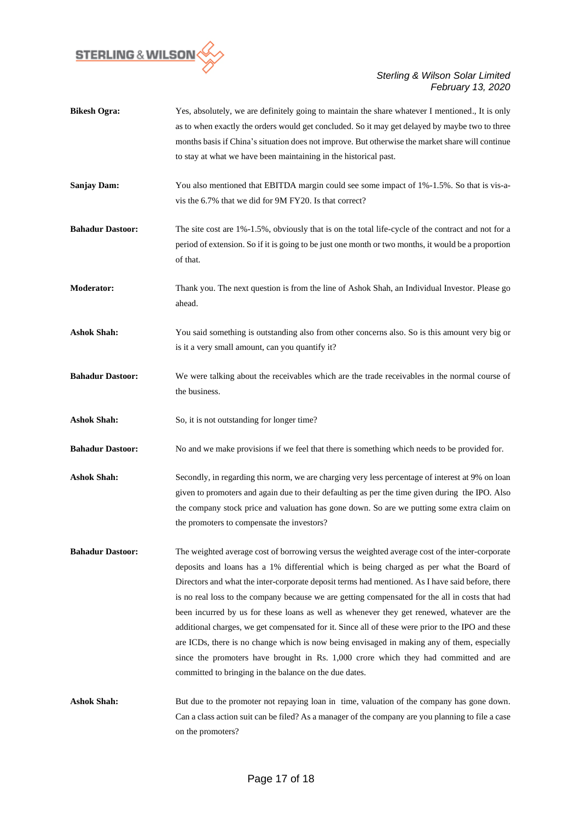

| <b>Bikesh Ogra:</b>     | Yes, absolutely, we are definitely going to maintain the share whatever I mentioned., It is only<br>as to when exactly the orders would get concluded. So it may get delayed by maybe two to three<br>months basis if China's situation does not improve. But otherwise the market share will continue<br>to stay at what we have been maintaining in the historical past.                                                                                                                                                                                                                                                                                                                                                                                                                                                                            |
|-------------------------|-------------------------------------------------------------------------------------------------------------------------------------------------------------------------------------------------------------------------------------------------------------------------------------------------------------------------------------------------------------------------------------------------------------------------------------------------------------------------------------------------------------------------------------------------------------------------------------------------------------------------------------------------------------------------------------------------------------------------------------------------------------------------------------------------------------------------------------------------------|
| <b>Sanjay Dam:</b>      | You also mentioned that EBITDA margin could see some impact of 1%-1.5%. So that is vis-a-<br>vis the 6.7% that we did for 9M FY20. Is that correct?                                                                                                                                                                                                                                                                                                                                                                                                                                                                                                                                                                                                                                                                                                   |
| <b>Bahadur Dastoor:</b> | The site cost are $1\% - 1.5\%$ , obviously that is on the total life-cycle of the contract and not for a<br>period of extension. So if it is going to be just one month or two months, it would be a proportion<br>of that.                                                                                                                                                                                                                                                                                                                                                                                                                                                                                                                                                                                                                          |
| <b>Moderator:</b>       | Thank you. The next question is from the line of Ashok Shah, an Individual Investor. Please go<br>ahead.                                                                                                                                                                                                                                                                                                                                                                                                                                                                                                                                                                                                                                                                                                                                              |
| <b>Ashok Shah:</b>      | You said something is outstanding also from other concerns also. So is this amount very big or<br>is it a very small amount, can you quantify it?                                                                                                                                                                                                                                                                                                                                                                                                                                                                                                                                                                                                                                                                                                     |
| <b>Bahadur Dastoor:</b> | We were talking about the receivables which are the trade receivables in the normal course of<br>the business.                                                                                                                                                                                                                                                                                                                                                                                                                                                                                                                                                                                                                                                                                                                                        |
| <b>Ashok Shah:</b>      | So, it is not outstanding for longer time?                                                                                                                                                                                                                                                                                                                                                                                                                                                                                                                                                                                                                                                                                                                                                                                                            |
| <b>Bahadur Dastoor:</b> | No and we make provisions if we feel that there is something which needs to be provided for.                                                                                                                                                                                                                                                                                                                                                                                                                                                                                                                                                                                                                                                                                                                                                          |
| <b>Ashok Shah:</b>      | Secondly, in regarding this norm, we are charging very less percentage of interest at 9% on loan<br>given to promoters and again due to their defaulting as per the time given during the IPO. Also<br>the company stock price and valuation has gone down. So are we putting some extra claim on<br>the promoters to compensate the investors?                                                                                                                                                                                                                                                                                                                                                                                                                                                                                                       |
| <b>Bahadur Dastoor:</b> | The weighted average cost of borrowing versus the weighted average cost of the inter-corporate<br>deposits and loans has a 1% differential which is being charged as per what the Board of<br>Directors and what the inter-corporate deposit terms had mentioned. As I have said before, there<br>is no real loss to the company because we are getting compensated for the all in costs that had<br>been incurred by us for these loans as well as whenever they get renewed, whatever are the<br>additional charges, we get compensated for it. Since all of these were prior to the IPO and these<br>are ICDs, there is no change which is now being envisaged in making any of them, especially<br>since the promoters have brought in Rs. 1,000 crore which they had committed and are<br>committed to bringing in the balance on the due dates. |
| <b>Ashok Shah:</b>      | But due to the promoter not repaying loan in time, valuation of the company has gone down.<br>Can a class action suit can be filed? As a manager of the company are you planning to file a case<br>on the promoters?                                                                                                                                                                                                                                                                                                                                                                                                                                                                                                                                                                                                                                  |